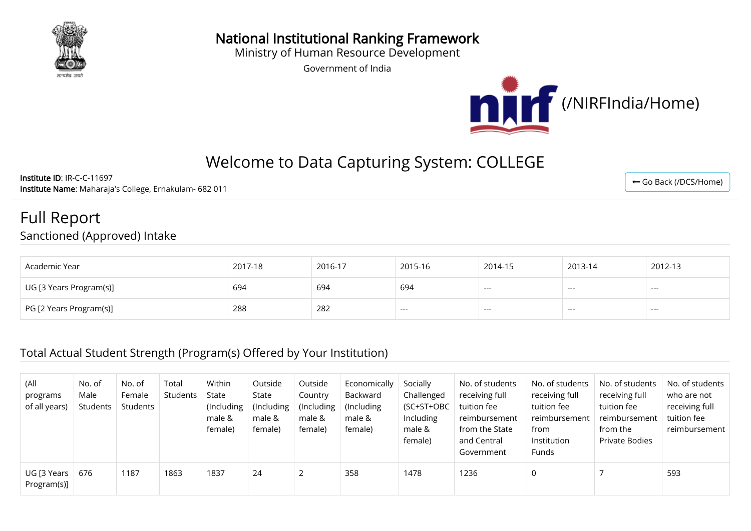

National Institutional Ranking Framework

Ministry of Human Resource Development

Government of India



# Welcome to Data Capturing System: COLLEGE

Institute ID: IR-C-C-11697 Institute Name: Maharaja's College, Ernakulam- 682 011

### Full Report Sanctioned (Approved) Intake

| Academic Year           | 2017-18 | 2016-17 | 2015-16 | 2014-15 | 2013-14 | 2012-13 |
|-------------------------|---------|---------|---------|---------|---------|---------|
| UG [3 Years Program(s)] | 694     | 694     | 694     | $---$   | ----    | ---     |
| PG [2 Years Program(s)] | 288     | 282     | ----    | $---$   | ---     | ---     |

#### Total Actual Student Strength (Program(s) Offered by Your Institution)

| (All<br>programs<br>of all years) | No. of<br>Male<br>Students | No. of<br>Female<br>Students | Total<br>Students | Within<br>State<br>(Including<br>male &<br>female) | Outside<br>State<br>(Including<br>male &<br>female) | Outside<br>Country<br>(Including)<br>male &<br>female) | Economically<br>Backward<br>(Including)<br>male &<br>female) | Socially<br>Challenged<br>(SC+ST+OBC<br>Including<br>male &<br>female) | No. of students<br>receiving full<br>tuition fee<br>reimbursement<br>from the State<br>and Central<br>Government | No. of students<br>receiving full<br>tuition fee<br>reimbursement<br>from<br>Institution<br><b>Funds</b> | No. of students<br>receiving full<br>tuition fee<br>reimbursement<br>from the<br>Private Bodies | No. of students<br>who are not<br>receiving full<br>tuition fee<br>reimbursement |
|-----------------------------------|----------------------------|------------------------------|-------------------|----------------------------------------------------|-----------------------------------------------------|--------------------------------------------------------|--------------------------------------------------------------|------------------------------------------------------------------------|------------------------------------------------------------------------------------------------------------------|----------------------------------------------------------------------------------------------------------|-------------------------------------------------------------------------------------------------|----------------------------------------------------------------------------------|
| UG [3 Years]<br>Program(s)]       | 676                        | 1187                         | 1863              | 1837                                               | 24                                                  | 2                                                      | 358                                                          | 1478                                                                   | 1236                                                                                                             |                                                                                                          |                                                                                                 | 593                                                                              |

← [Go Back \(/DCS/Home\)](http://login.nirfindia.org/DCS/Home)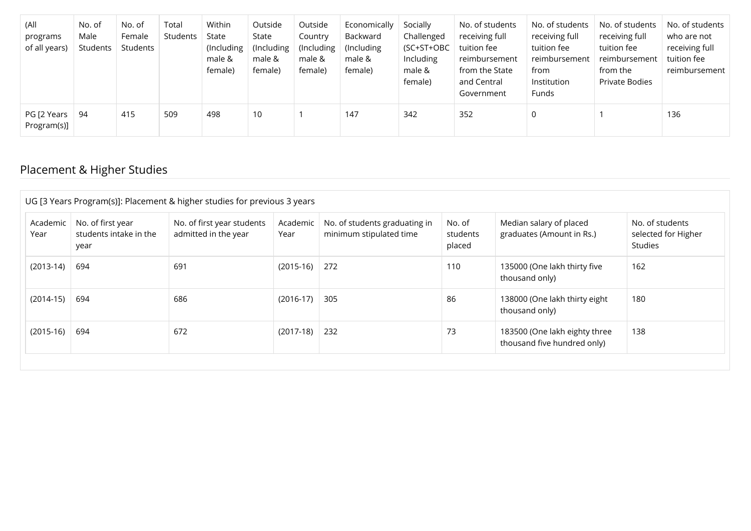| (All<br>programs<br>of all years) | No. of<br>Male<br>Students | No. of<br>Female<br>Students | Total<br>Students | Within<br>State<br>(Including<br>male &<br>female) | Outside<br>State<br>(Including)<br>male &<br>female) | Outside<br>Country<br>(Including)<br>male &<br>female) | Economically<br>Backward<br>(Including<br>male &<br>female) | Socially<br>Challenged<br>(SC+ST+OBC<br>Including<br>male &<br>female) | No. of students<br>receiving full<br>tuition fee<br>reimbursement<br>from the State<br>and Central<br>Government | No. of students<br>receiving full<br>tuition fee<br>reimbursement<br>from<br>Institution<br>Funds | No. of students<br>receiving full<br>tuition fee<br>reimbursement<br>from the<br>Private Bodies | No. of students<br>who are not<br>receiving full<br>tuition fee<br>reimbursement |
|-----------------------------------|----------------------------|------------------------------|-------------------|----------------------------------------------------|------------------------------------------------------|--------------------------------------------------------|-------------------------------------------------------------|------------------------------------------------------------------------|------------------------------------------------------------------------------------------------------------------|---------------------------------------------------------------------------------------------------|-------------------------------------------------------------------------------------------------|----------------------------------------------------------------------------------|
| PG [2 Years<br>Program(s)]        | 94                         | 415                          | 509               | 498                                                | 10                                                   |                                                        | 147                                                         | 342                                                                    | 352                                                                                                              | 0                                                                                                 |                                                                                                 | 136                                                                              |

### Placement & Higher Studies

| Academic    | No. of first year      | No. of first year students | Academic    | No. of students graduating in | No. of   | Median salary of placed       | No. of students     |
|-------------|------------------------|----------------------------|-------------|-------------------------------|----------|-------------------------------|---------------------|
| Year        | students intake in the | admitted in the year       | Year        | minimum stipulated time       | students | graduates (Amount in Rs.)     | selected for Higher |
|             | year                   |                            |             |                               | placed   |                               | Studies             |
| $(2013-14)$ | 694                    | 691                        | $(2015-16)$ | 272                           | 110      | 135000 (One lakh thirty five  | 162                 |
|             |                        |                            |             |                               |          | thousand only)                |                     |
| $(2014-15)$ | 694                    | 686                        | $(2016-17)$ | 305                           | 86       | 138000 (One lakh thirty eight | 180                 |
|             |                        |                            |             |                               |          | thousand only)                |                     |
| $(2015-16)$ | 694                    | 672                        | $(2017-18)$ | 232                           | 73       | 183500 (One lakh eighty three | 138                 |
|             |                        |                            |             |                               |          | thousand five hundred only)   |                     |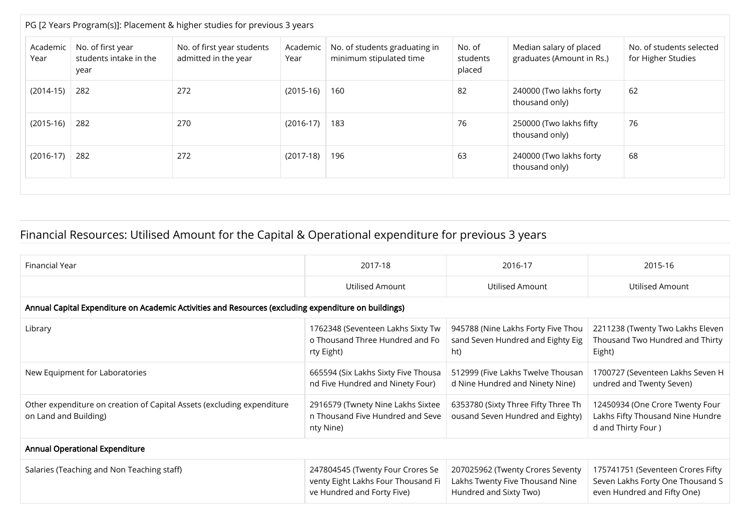|                  | PG [2 Years Program(s)]: Placement & higher studies for previous 3 years |                                                    |                  |                                                          |                              |                                                      |                                                |  |  |  |  |  |  |
|------------------|--------------------------------------------------------------------------|----------------------------------------------------|------------------|----------------------------------------------------------|------------------------------|------------------------------------------------------|------------------------------------------------|--|--|--|--|--|--|
| Academic<br>Year | No. of first year<br>students intake in the<br>year                      | No. of first year students<br>admitted in the year | Academic<br>Year | No. of students graduating in<br>minimum stipulated time | No. of<br>students<br>placed | Median salary of placed<br>graduates (Amount in Rs.) | No. of students selected<br>for Higher Studies |  |  |  |  |  |  |
| $(2014-15)$      | 282                                                                      | 272                                                | $(2015-16)$      | 160                                                      | 82                           | 240000 (Two lakhs forty<br>thousand only)            | 62                                             |  |  |  |  |  |  |
| $(2015-16)$      | 282                                                                      | 270                                                | $(2016-17)$      | 183                                                      | 76                           | 250000 (Two lakhs fifty<br>thousand only)            | 76                                             |  |  |  |  |  |  |
| $(2016-17)$      | 282                                                                      | 272                                                | $(2017-18)$      | 196                                                      | 63                           | 240000 (Two lakhs forty<br>thousand only)            | 68                                             |  |  |  |  |  |  |

## Financial Resources: Utilised Amount for the Capital & Operational expenditure for previous 3 years

| Financial Year                                                                                  | 2017-18                                                                                              | 2016-17                                                                                       | 2015-16                                                                                              |  |  |  |  |  |  |  |  |  |
|-------------------------------------------------------------------------------------------------|------------------------------------------------------------------------------------------------------|-----------------------------------------------------------------------------------------------|------------------------------------------------------------------------------------------------------|--|--|--|--|--|--|--|--|--|
|                                                                                                 | Utilised Amount                                                                                      | Utilised Amount                                                                               | Utilised Amount                                                                                      |  |  |  |  |  |  |  |  |  |
|                                                                                                 | Annual Capital Expenditure on Academic Activities and Resources (excluding expenditure on buildings) |                                                                                               |                                                                                                      |  |  |  |  |  |  |  |  |  |
| Library                                                                                         | 1762348 (Seventeen Lakhs Sixty Tw<br>o Thousand Three Hundred and Fo<br>rty Eight)                   | 945788 (Nine Lakhs Forty Five Thou<br>sand Seven Hundred and Eighty Eig<br>ht)                | 2211238 (Twenty Two Lakhs Eleven<br>Thousand Two Hundred and Thirty<br>Eight)                        |  |  |  |  |  |  |  |  |  |
| New Equipment for Laboratories                                                                  | 665594 (Six Lakhs Sixty Five Thousa<br>nd Five Hundred and Ninety Four)                              | 512999 (Five Lakhs Twelve Thousan<br>d Nine Hundred and Ninety Nine)                          | 1700727 (Seventeen Lakhs Seven H<br>undred and Twenty Seven)                                         |  |  |  |  |  |  |  |  |  |
| Other expenditure on creation of Capital Assets (excluding expenditure<br>on Land and Building) | 2916579 (Twnety Nine Lakhs Sixtee<br>n Thousand Five Hundred and Seve<br>nty Nine)                   | 6353780 (Sixty Three Fifty Three Th<br>ousand Seven Hundred and Eighty)                       | 12450934 (One Crore Twenty Four<br>Lakhs Fifty Thousand Nine Hundre<br>d and Thirty Four)            |  |  |  |  |  |  |  |  |  |
| <b>Annual Operational Expenditure</b>                                                           |                                                                                                      |                                                                                               |                                                                                                      |  |  |  |  |  |  |  |  |  |
| Salaries (Teaching and Non Teaching staff)                                                      | 247804545 (Twenty Four Crores Se<br>venty Eight Lakhs Four Thousand Fi<br>ve Hundred and Forty Five) | 207025962 (Twenty Crores Seventy<br>Lakhs Twenty Five Thousand Nine<br>Hundred and Sixty Two) | 175741751 (Seventeen Crores Fifty<br>Seven Lakhs Forty One Thousand S<br>even Hundred and Fifty One) |  |  |  |  |  |  |  |  |  |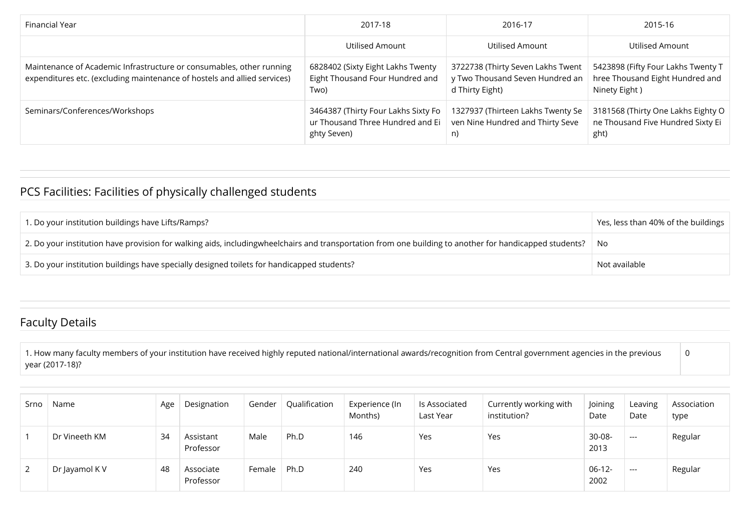| Financial Year                                                                                                                                   | 2017-18                                                                                | 2016-17                                                                                 | 2015-16                                                                                |
|--------------------------------------------------------------------------------------------------------------------------------------------------|----------------------------------------------------------------------------------------|-----------------------------------------------------------------------------------------|----------------------------------------------------------------------------------------|
|                                                                                                                                                  | Utilised Amount                                                                        | Utilised Amount                                                                         | Utilised Amount                                                                        |
| Maintenance of Academic Infrastructure or consumables, other running<br>expenditures etc. (excluding maintenance of hostels and allied services) | 6828402 (Sixty Eight Lakhs Twenty<br>Eight Thousand Four Hundred and<br>Two)           | 3722738 (Thirty Seven Lakhs Twent<br>y Two Thousand Seven Hundred an<br>d Thirty Eight) | 5423898 (Fifty Four Lakhs Twenty T<br>hree Thousand Eight Hundred and<br>Ninety Eight) |
| Seminars/Conferences/Workshops                                                                                                                   | 3464387 (Thirty Four Lakhs Sixty Fo<br>ur Thousand Three Hundred and Ei<br>ghty Seven) | 1327937 (Thirteen Lakhs Twenty Se<br>ven Nine Hundred and Thirty Seve<br>n)             | 3181568 (Thirty One Lakhs Eighty O<br>ne Thousand Five Hundred Sixty Ei<br>ght)        |

### PCS Facilities: Facilities of physically challenged students

| 1. Do your institution buildings have Lifts/Ramps?                                                                                                            | Yes, less than 40% of the buildings |
|---------------------------------------------------------------------------------------------------------------------------------------------------------------|-------------------------------------|
| $\mid$ 2. Do your institution have provision for walking aids, includingwheelchairs and transportation from one building to another for handicapped students? | No                                  |
| 3. Do your institution buildings have specially designed toilets for handicapped students?                                                                    | Not available                       |

#### Faculty Details

1. How many faculty members of your institution have received highly reputed national/international awards/recognition from Central government agencies in the previous year (2017-18)? 0

| Srno | Name           | Age | Designation            | Gender | Qualification | Experience (In<br>Months) | Is Associated<br>Last Year | Currently working with<br>institution? | Joining<br>Date     | Leaving<br>Date | Association<br>type |
|------|----------------|-----|------------------------|--------|---------------|---------------------------|----------------------------|----------------------------------------|---------------------|-----------------|---------------------|
|      | Dr Vineeth KM  | 34  | Assistant<br>Professor | Male   | Ph.D          | 146                       | Yes                        | Yes                                    | $30 - 08 -$<br>2013 | $---$           | Regular             |
| 2    | Dr Jayamol K V | 48  | Associate<br>Professor | Female | Ph.D          | 240                       | Yes                        | Yes                                    | $06-12-$<br>2002    | $---$           | Regular             |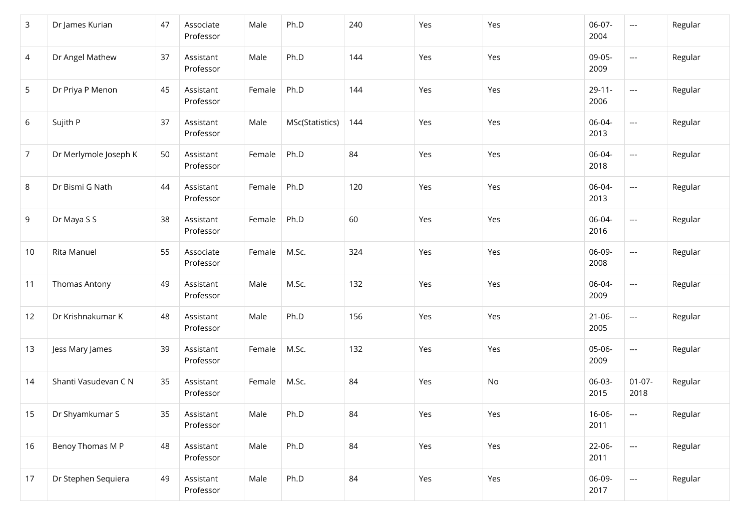| 3               | Dr James Kurian       | 47 | Associate<br>Professor | Male   | Ph.D            | 240 | Yes | Yes           | 06-07-<br>2004      | $\qquad \qquad -$                 | Regular |
|-----------------|-----------------------|----|------------------------|--------|-----------------|-----|-----|---------------|---------------------|-----------------------------------|---------|
| 4               | Dr Angel Mathew       | 37 | Assistant<br>Professor | Male   | Ph.D            | 144 | Yes | Yes           | 09-05-<br>2009      | ---                               | Regular |
| 5               | Dr Priya P Menon      | 45 | Assistant<br>Professor | Female | Ph.D            | 144 | Yes | Yes           | $29 - 11 -$<br>2006 | ---                               | Regular |
| 6               | Sujith P              | 37 | Assistant<br>Professor | Male   | MSc(Statistics) | 144 | Yes | Yes           | 06-04-<br>2013      | $\overline{\phantom{a}}$          | Regular |
| $\overline{7}$  | Dr Merlymole Joseph K | 50 | Assistant<br>Professor | Female | Ph.D            | 84  | Yes | Yes           | 06-04-<br>2018      | ---                               | Regular |
| 8               | Dr Bismi G Nath       | 44 | Assistant<br>Professor | Female | Ph.D            | 120 | Yes | Yes           | 06-04-<br>2013      | ---                               | Regular |
| 9               | Dr Maya S S           | 38 | Assistant<br>Professor | Female | Ph.D            | 60  | Yes | Yes           | 06-04-<br>2016      | ---                               | Regular |
| 10              | Rita Manuel           | 55 | Associate<br>Professor | Female | M.Sc.           | 324 | Yes | Yes           | 06-09-<br>2008      | ---                               | Regular |
| 11              | Thomas Antony         | 49 | Assistant<br>Professor | Male   | M.Sc.           | 132 | Yes | Yes           | 06-04-<br>2009      | ---                               | Regular |
| 12              | Dr Krishnakumar K     | 48 | Assistant<br>Professor | Male   | Ph.D            | 156 | Yes | Yes           | $21 - 06 -$<br>2005 | ---                               | Regular |
| 13              | Jess Mary James       | 39 | Assistant<br>Professor | Female | M.Sc.           | 132 | Yes | Yes           | 05-06-<br>2009      | ---                               | Regular |
| 14              | Shanti Vasudevan C N  | 35 | Assistant<br>Professor | Female | M.Sc.           | 84  | Yes | $\mathsf{No}$ | 06-03-<br>2015      | $01-07-$<br>2018                  | Regular |
| 15 <sub>1</sub> | Dr Shyamkumar S       | 35 | Assistant<br>Professor | Male   | Ph.D            | 84  | Yes | Yes           | 16-06-<br>2011      | $---$                             | Regular |
| 16              | Benoy Thomas M P      | 48 | Assistant<br>Professor | Male   | Ph.D            | 84  | Yes | Yes           | 22-06-<br>2011      | $\hspace{0.05cm} \dashrightarrow$ | Regular |
| 17              | Dr Stephen Sequiera   | 49 | Assistant<br>Professor | Male   | Ph.D            | 84  | Yes | Yes           | 06-09-<br>2017      | ---                               | Regular |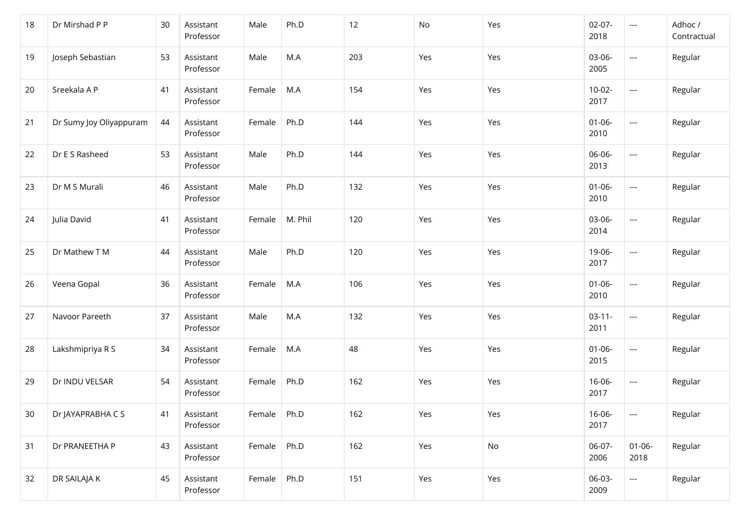| 18 | Dr Mirshad P P          | 30 | Assistant<br>Professor | Male   | Ph.D    | 12  | No  | Yes | $02-07-$<br>2018    | $\hspace{0.05cm} \ldots$          | Adhoc /<br>Contractual |
|----|-------------------------|----|------------------------|--------|---------|-----|-----|-----|---------------------|-----------------------------------|------------------------|
| 19 | Joseph Sebastian        | 53 | Assistant<br>Professor | Male   | M.A     | 203 | Yes | Yes | 03-06-<br>2005      | ---                               | Regular                |
| 20 | Sreekala A P            | 41 | Assistant<br>Professor | Female | M.A     | 154 | Yes | Yes | $10-02 -$<br>2017   | $\hspace{0.05cm} \ldots$          | Regular                |
| 21 | Dr Sumy Joy Oliyappuram | 44 | Assistant<br>Professor | Female | Ph.D    | 144 | Yes | Yes | $01 - 06 -$<br>2010 | ---                               | Regular                |
| 22 | Dr E S Rasheed          | 53 | Assistant<br>Professor | Male   | Ph.D    | 144 | Yes | Yes | 06-06-<br>2013      | ---                               | Regular                |
| 23 | Dr M S Murali           | 46 | Assistant<br>Professor | Male   | Ph.D    | 132 | Yes | Yes | $01 - 06 -$<br>2010 | ---                               | Regular                |
| 24 | Julia David             | 41 | Assistant<br>Professor | Female | M. Phil | 120 | Yes | Yes | 03-06-<br>2014      | ---                               | Regular                |
| 25 | Dr Mathew T M           | 44 | Assistant<br>Professor | Male   | Ph.D    | 120 | Yes | Yes | 19-06-<br>2017      | ---                               | Regular                |
| 26 | Veena Gopal             | 36 | Assistant<br>Professor | Female | M.A     | 106 | Yes | Yes | $01 - 06 -$<br>2010 | $\hspace{0.05cm} \ldots$          | Regular                |
| 27 | Navoor Pareeth          | 37 | Assistant<br>Professor | Male   | M.A     | 132 | Yes | Yes | $03-11-$<br>2011    | $\hspace{0.05cm} \ldots$          | Regular                |
| 28 | Lakshmipriya R S        | 34 | Assistant<br>Professor | Female | M.A     | 48  | Yes | Yes | $01 - 06 -$<br>2015 | $\hspace{0.05cm} \dashrightarrow$ | Regular                |
| 29 | Dr INDU VELSAR          | 54 | Assistant<br>Professor | Female | Ph.D    | 162 | Yes | Yes | 16-06-<br>2017      | $\hspace{0.05cm} \dashrightarrow$ | Regular                |
| 30 | Dr JAYAPRABHA C S       | 41 | Assistant<br>Professor | Female | Ph.D    | 162 | Yes | Yes | 16-06-<br>2017      | $\qquad \qquad - -$               | Regular                |
| 31 | Dr PRANEETHA P          | 43 | Assistant<br>Professor | Female | Ph.D    | 162 | Yes | No  | 06-07-<br>2006      | $01 - 06 -$<br>2018               | Regular                |
| 32 | DR SAILAJA K            | 45 | Assistant<br>Professor | Female | Ph.D    | 151 | Yes | Yes | 06-03-<br>2009      | $\hspace{0.05cm} \dashrightarrow$ | Regular                |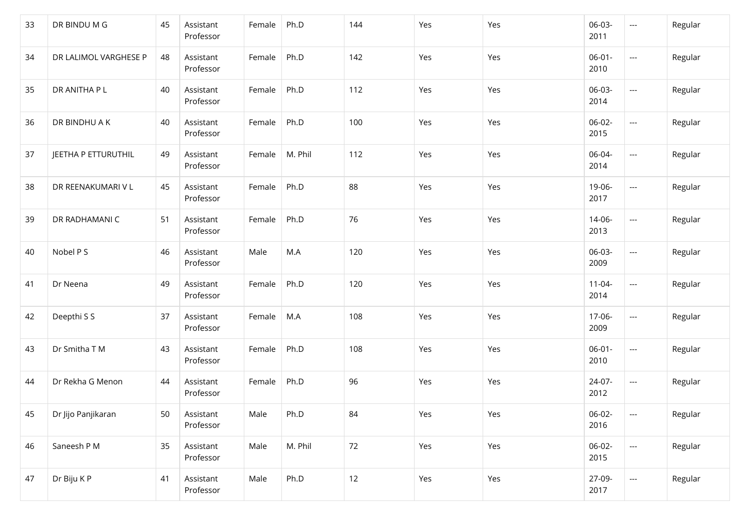| 33 | DR BINDU M G          | 45 | Assistant<br>Professor | Female | Ph.D    | 144 | Yes | Yes | 06-03-<br>2011      | $\hspace{0.05cm} \ldots$          | Regular |
|----|-----------------------|----|------------------------|--------|---------|-----|-----|-----|---------------------|-----------------------------------|---------|
| 34 | DR LALIMOL VARGHESE P | 48 | Assistant<br>Professor | Female | Ph.D    | 142 | Yes | Yes | $06-01 -$<br>2010   | ---                               | Regular |
| 35 | DR ANITHA P L         | 40 | Assistant<br>Professor | Female | Ph.D    | 112 | Yes | Yes | 06-03-<br>2014      | ---                               | Regular |
| 36 | DR BINDHU A K         | 40 | Assistant<br>Professor | Female | Ph.D    | 100 | Yes | Yes | $06-02-$<br>2015    | ---                               | Regular |
| 37 | JEETHA P ETTURUTHIL   | 49 | Assistant<br>Professor | Female | M. Phil | 112 | Yes | Yes | 06-04-<br>2014      | ---                               | Regular |
| 38 | DR REENAKUMARI V L    | 45 | Assistant<br>Professor | Female | Ph.D    | 88  | Yes | Yes | 19-06-<br>2017      | ---                               | Regular |
| 39 | DR RADHAMANI C        | 51 | Assistant<br>Professor | Female | Ph.D    | 76  | Yes | Yes | 14-06-<br>2013      | $\hspace{0.05cm} \dashrightarrow$ | Regular |
| 40 | Nobel P S             | 46 | Assistant<br>Professor | Male   | M.A     | 120 | Yes | Yes | 06-03-<br>2009      | $\hspace{0.05cm} \dashrightarrow$ | Regular |
| 41 | Dr Neena              | 49 | Assistant<br>Professor | Female | Ph.D    | 120 | Yes | Yes | $11 - 04 -$<br>2014 | $\hspace{0.05cm} \ldots$          | Regular |
| 42 | Deepthi S S           | 37 | Assistant<br>Professor | Female | M.A     | 108 | Yes | Yes | 17-06-<br>2009      | $\hspace{0.05cm} \ldots$          | Regular |
| 43 | Dr Smitha T M         | 43 | Assistant<br>Professor | Female | Ph.D    | 108 | Yes | Yes | $06-01 -$<br>2010   | $\hspace{0.05cm} \dashrightarrow$ | Regular |
| 44 | Dr Rekha G Menon      | 44 | Assistant<br>Professor | Female | Ph.D    | 96  | Yes | Yes | 24-07-<br>2012      | $\hspace{0.05cm} \ldots$          | Regular |
| 45 | Dr Jijo Panjikaran    | 50 | Assistant<br>Professor | Male   | Ph.D    | 84  | Yes | Yes | 06-02-<br>2016      | $---$                             | Regular |
| 46 | Saneesh P M           | 35 | Assistant<br>Professor | Male   | M. Phil | 72  | Yes | Yes | 06-02-<br>2015      | $\hspace{0.05cm} \dashrightarrow$ | Regular |
| 47 | Dr Biju K P           | 41 | Assistant<br>Professor | Male   | Ph.D    | 12  | Yes | Yes | 27-09-<br>2017      | $\hspace{0.05cm} \ldots$          | Regular |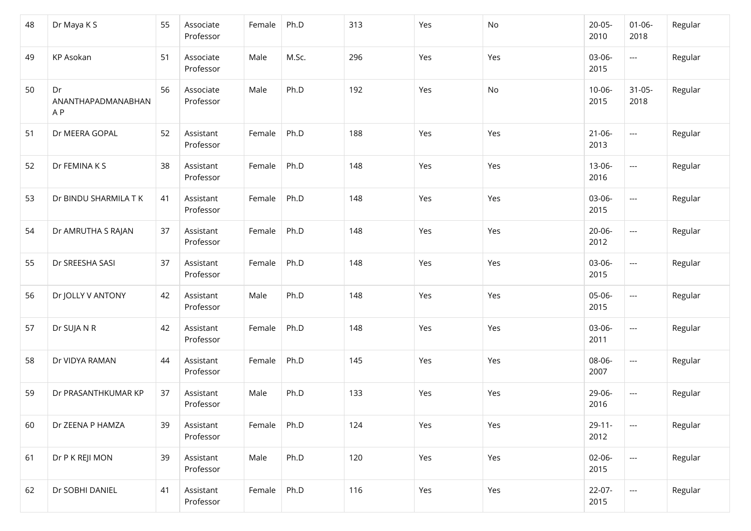| 48 | Dr Maya K S                     | 55 | Associate<br>Professor | Female | Ph.D  | 313 | Yes | No  | $20-05-$<br>2010    | $01 - 06 -$<br>2018      | Regular |
|----|---------------------------------|----|------------------------|--------|-------|-----|-----|-----|---------------------|--------------------------|---------|
| 49 | KP Asokan                       | 51 | Associate<br>Professor | Male   | M.Sc. | 296 | Yes | Yes | 03-06-<br>2015      | $\hspace{0.05cm} \ldots$ | Regular |
| 50 | Dr<br>ANANTHAPADMANABHAN<br>A P | 56 | Associate<br>Professor | Male   | Ph.D  | 192 | Yes | No  | $10 - 06 -$<br>2015 | $31 - 05 -$<br>2018      | Regular |
| 51 | Dr MEERA GOPAL                  | 52 | Assistant<br>Professor | Female | Ph.D  | 188 | Yes | Yes | $21 - 06 -$<br>2013 | $\hspace{0.05cm} \ldots$ | Regular |
| 52 | Dr FEMINA K S                   | 38 | Assistant<br>Professor | Female | Ph.D  | 148 | Yes | Yes | 13-06-<br>2016      | $\hspace{0.05cm} \ldots$ | Regular |
| 53 | Dr BINDU SHARMILA T K           | 41 | Assistant<br>Professor | Female | Ph.D  | 148 | Yes | Yes | 03-06-<br>2015      | $\hspace{0.05cm} \ldots$ | Regular |
| 54 | Dr AMRUTHA S RAJAN              | 37 | Assistant<br>Professor | Female | Ph.D  | 148 | Yes | Yes | 20-06-<br>2012      | $\hspace{0.05cm} \ldots$ | Regular |
| 55 | Dr SREESHA SASI                 | 37 | Assistant<br>Professor | Female | Ph.D  | 148 | Yes | Yes | 03-06-<br>2015      | $\hspace{0.05cm} \ldots$ | Regular |
| 56 | Dr JOLLY V ANTONY               | 42 | Assistant<br>Professor | Male   | Ph.D  | 148 | Yes | Yes | 05-06-<br>2015      | $\hspace{0.05cm} \ldots$ | Regular |
| 57 | Dr SUJA N R                     | 42 | Assistant<br>Professor | Female | Ph.D  | 148 | Yes | Yes | 03-06-<br>2011      | $\hspace{0.05cm} \ldots$ | Regular |
| 58 | Dr VIDYA RAMAN                  | 44 | Assistant<br>Professor | Female | Ph.D  | 145 | Yes | Yes | 08-06-<br>2007      | $\hspace{0.05cm}\ldots$  | Regular |
| 59 | Dr PRASANTHKUMAR KP             | 37 | Assistant<br>Professor | Male   | Ph.D  | 133 | Yes | Yes | 29-06-<br>2016      | $\hspace{0.05cm} \ldots$ | Regular |
| 60 | Dr ZEENA P HAMZA                | 39 | Assistant<br>Professor | Female | Ph.D  | 124 | Yes | Yes | $29 - 11 -$<br>2012 | ---                      | Regular |
| 61 | Dr P K REJI MON                 | 39 | Assistant<br>Professor | Male   | Ph.D  | 120 | Yes | Yes | 02-06-<br>2015      | $\hspace{0.05cm} \ldots$ | Regular |
| 62 | Dr SOBHI DANIEL                 | 41 | Assistant<br>Professor | Female | Ph.D  | 116 | Yes | Yes | $22-07-$<br>2015    | $\hspace{0.05cm} \ldots$ | Regular |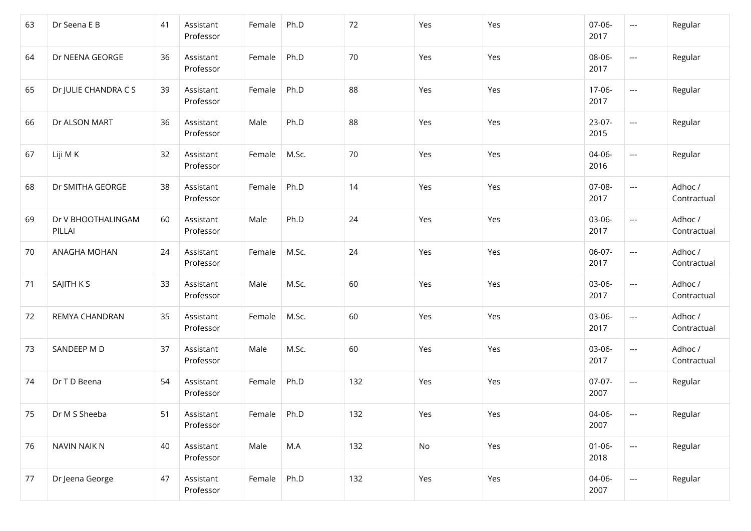| 63 | Dr Seena E B                 | 41 | Assistant<br>Professor | Female | Ph.D  | 72  | Yes | Yes | 07-06-<br>2017      | ---                      | Regular                |
|----|------------------------------|----|------------------------|--------|-------|-----|-----|-----|---------------------|--------------------------|------------------------|
| 64 | Dr NEENA GEORGE              | 36 | Assistant<br>Professor | Female | Ph.D  | 70  | Yes | Yes | 08-06-<br>2017      | ---                      | Regular                |
| 65 | Dr JULIE CHANDRA C S         | 39 | Assistant<br>Professor | Female | Ph.D  | 88  | Yes | Yes | 17-06-<br>2017      | ---                      | Regular                |
| 66 | Dr ALSON MART                | 36 | Assistant<br>Professor | Male   | Ph.D  | 88  | Yes | Yes | 23-07-<br>2015      | ---                      | Regular                |
| 67 | Liji M K                     | 32 | Assistant<br>Professor | Female | M.Sc. | 70  | Yes | Yes | 04-06-<br>2016      | ---                      | Regular                |
| 68 | Dr SMITHA GEORGE             | 38 | Assistant<br>Professor | Female | Ph.D  | 14  | Yes | Yes | 07-08-<br>2017      | ---                      | Adhoc /<br>Contractual |
| 69 | Dr V BHOOTHALINGAM<br>PILLAI | 60 | Assistant<br>Professor | Male   | Ph.D  | 24  | Yes | Yes | 03-06-<br>2017      | ---                      | Adhoc /<br>Contractual |
| 70 | ANAGHA MOHAN                 | 24 | Assistant<br>Professor | Female | M.Sc. | 24  | Yes | Yes | 06-07-<br>2017      | ---                      | Adhoc /<br>Contractual |
| 71 | SAJITH K S                   | 33 | Assistant<br>Professor | Male   | M.Sc. | 60  | Yes | Yes | 03-06-<br>2017      | ---                      | Adhoc /<br>Contractual |
| 72 | REMYA CHANDRAN               | 35 | Assistant<br>Professor | Female | M.Sc. | 60  | Yes | Yes | 03-06-<br>2017      | ---                      | Adhoc /<br>Contractual |
| 73 | SANDEEP M D                  | 37 | Assistant<br>Professor | Male   | M.Sc. | 60  | Yes | Yes | 03-06-<br>2017      | ---                      | Adhoc /<br>Contractual |
| 74 | Dr T D Beena                 | 54 | Assistant<br>Professor | Female | Ph.D  | 132 | Yes | Yes | $07-07-$<br>2007    | ---                      | Regular                |
| 75 | Dr M S Sheeba                | 51 | Assistant<br>Professor | Female | Ph.D  | 132 | Yes | Yes | 04-06-<br>2007      | $---$                    | Regular                |
| 76 | NAVIN NAIK N                 | 40 | Assistant<br>Professor | Male   | M.A   | 132 | No  | Yes | $01 - 06 -$<br>2018 | $\hspace{0.05cm} \ldots$ | Regular                |
| 77 | Dr Jeena George              | 47 | Assistant<br>Professor | Female | Ph.D  | 132 | Yes | Yes | 04-06-<br>2007      | $\overline{\phantom{a}}$ | Regular                |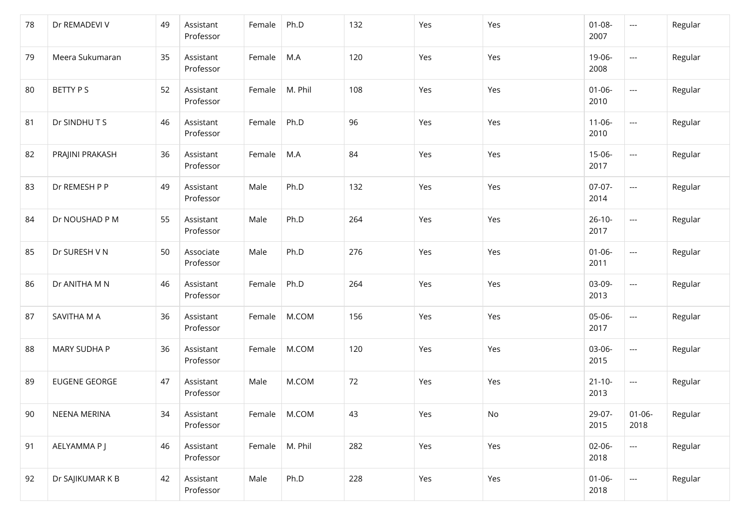| 78 | Dr REMADEVI V        | 49 | Assistant<br>Professor | Female         | Ph.D    | 132 | Yes | Yes | $01 - 08 -$<br>2007 | $\hspace{0.05cm} \ldots$          | Regular |
|----|----------------------|----|------------------------|----------------|---------|-----|-----|-----|---------------------|-----------------------------------|---------|
| 79 | Meera Sukumaran      | 35 | Assistant<br>Professor | Female         | M.A     | 120 | Yes | Yes | 19-06-<br>2008      | ---                               | Regular |
| 80 | BETTY P S            | 52 | Assistant<br>Professor | Female         | M. Phil | 108 | Yes | Yes | $01 - 06 -$<br>2010 | ---                               | Regular |
| 81 | Dr SINDHUTS          | 46 | Assistant<br>Professor | Female         | Ph.D    | 96  | Yes | Yes | $11 - 06 -$<br>2010 | ---                               | Regular |
| 82 | PRAJINI PRAKASH      | 36 | Assistant<br>Professor | Female         | M.A     | 84  | Yes | Yes | 15-06-<br>2017      | $\hspace{0.05cm} \dashrightarrow$ | Regular |
| 83 | Dr REMESH P P        | 49 | Assistant<br>Professor | Male           | Ph.D    | 132 | Yes | Yes | $07-07-$<br>2014    | ---                               | Regular |
| 84 | Dr NOUSHAD P M       | 55 | Assistant<br>Professor | Male           | Ph.D    | 264 | Yes | Yes | $26-10-$<br>2017    | ---                               | Regular |
| 85 | Dr SURESH V N        | 50 | Associate<br>Professor | Male           | Ph.D    | 276 | Yes | Yes | $01 - 06 -$<br>2011 | $\hspace{0.05cm} \dashrightarrow$ | Regular |
| 86 | Dr ANITHA M N        | 46 | Assistant<br>Professor | Female         | Ph.D    | 264 | Yes | Yes | 03-09-<br>2013      | $\hspace{0.05cm} \dashrightarrow$ | Regular |
| 87 | SAVITHA M A          | 36 | Assistant<br>Professor | Female         | M.COM   | 156 | Yes | Yes | 05-06-<br>2017      | $\hspace{0.05cm} \dashrightarrow$ | Regular |
| 88 | MARY SUDHA P         | 36 | Assistant<br>Professor | Female         | M.COM   | 120 | Yes | Yes | 03-06-<br>2015      | $\hspace{0.05cm} \dashrightarrow$ | Regular |
| 89 | <b>EUGENE GEORGE</b> | 47 | Assistant<br>Professor | Male           | M.COM   | 72  | Yes | Yes | $21 - 10 -$<br>2013 | $\hspace{0.05cm} \dashrightarrow$ | Regular |
| 90 | NEENA MERINA         | 34 | Assistant<br>Professor | Female   M.COM |         | 43  | Yes | No  | 29-07-<br>2015      | $01 - 06 -$<br>2018               | Regular |
| 91 | AELYAMMA P J         | 46 | Assistant<br>Professor | Female         | M. Phil | 282 | Yes | Yes | 02-06-<br>2018      | $\hspace{0.05cm} \dashrightarrow$ | Regular |
| 92 | Dr SAJIKUMAR K B     | 42 | Assistant<br>Professor | Male           | Ph.D    | 228 | Yes | Yes | $01 - 06 -$<br>2018 | $\hspace{0.05cm} \ldots$          | Regular |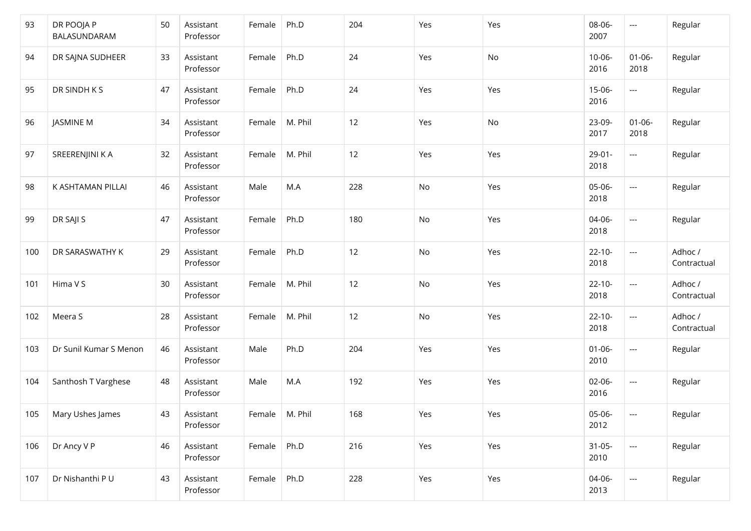| 93  | DR POOJA P<br>BALASUNDARAM | 50 | Assistant<br>Professor | Female | Ph.D    | 204 | Yes | Yes | 08-06-<br>2007      | $\hspace{0.05cm} \ldots$ | Regular                |
|-----|----------------------------|----|------------------------|--------|---------|-----|-----|-----|---------------------|--------------------------|------------------------|
| 94  | DR SAJNA SUDHEER           | 33 | Assistant<br>Professor | Female | Ph.D    | 24  | Yes | No  | $10 - 06 -$<br>2016 | $01 - 06 -$<br>2018      | Regular                |
| 95  | DR SINDH K S               | 47 | Assistant<br>Professor | Female | Ph.D    | 24  | Yes | Yes | 15-06-<br>2016      | $\hspace{0.05cm} \ldots$ | Regular                |
| 96  | JASMINE M                  | 34 | Assistant<br>Professor | Female | M. Phil | 12  | Yes | No  | 23-09-<br>2017      | $01 - 06 -$<br>2018      | Regular                |
| 97  | SREERENJINI K A            | 32 | Assistant<br>Professor | Female | M. Phil | 12  | Yes | Yes | $29-01-$<br>2018    | $\hspace{0.05cm}\ldots$  | Regular                |
| 98  | K ASHTAMAN PILLAI          | 46 | Assistant<br>Professor | Male   | M.A     | 228 | No  | Yes | 05-06-<br>2018      | ---                      | Regular                |
| 99  | DR SAJI S                  | 47 | Assistant<br>Professor | Female | Ph.D    | 180 | No  | Yes | 04-06-<br>2018      | $\hspace{0.05cm} \ldots$ | Regular                |
| 100 | DR SARASWATHY K            | 29 | Assistant<br>Professor | Female | Ph.D    | 12  | No  | Yes | $22 - 10 -$<br>2018 | $\scriptstyle\cdots$     | Adhoc /<br>Contractual |
| 101 | Hima V S                   | 30 | Assistant<br>Professor | Female | M. Phil | 12  | No  | Yes | $22 - 10 -$<br>2018 | $\hspace{0.05cm} \ldots$ | Adhoc /<br>Contractual |
| 102 | Meera S                    | 28 | Assistant<br>Professor | Female | M. Phil | 12  | No  | Yes | $22 - 10 -$<br>2018 | $\hspace{0.05cm} \ldots$ | Adhoc /<br>Contractual |
| 103 | Dr Sunil Kumar S Menon     | 46 | Assistant<br>Professor | Male   | Ph.D    | 204 | Yes | Yes | $01 - 06 -$<br>2010 | $\hspace{0.05cm} \ldots$ | Regular                |
| 104 | Santhosh T Varghese        | 48 | Assistant<br>Professor | Male   | M.A     | 192 | Yes | Yes | $02 - 06 -$<br>2016 | $\hspace{0.05cm} \ldots$ | Regular                |
| 105 | Mary Ushes James           | 43 | Assistant<br>Professor | Female | M. Phil | 168 | Yes | Yes | 05-06-<br>2012      | $---$                    | Regular                |
| 106 | Dr Ancy V P                | 46 | Assistant<br>Professor | Female | Ph.D    | 216 | Yes | Yes | $31-05-$<br>2010    | ---                      | Regular                |
| 107 | Dr Nishanthi P U           | 43 | Assistant<br>Professor | Female | Ph.D    | 228 | Yes | Yes | 04-06-<br>2013      | $\hspace{0.05cm} \ldots$ | Regular                |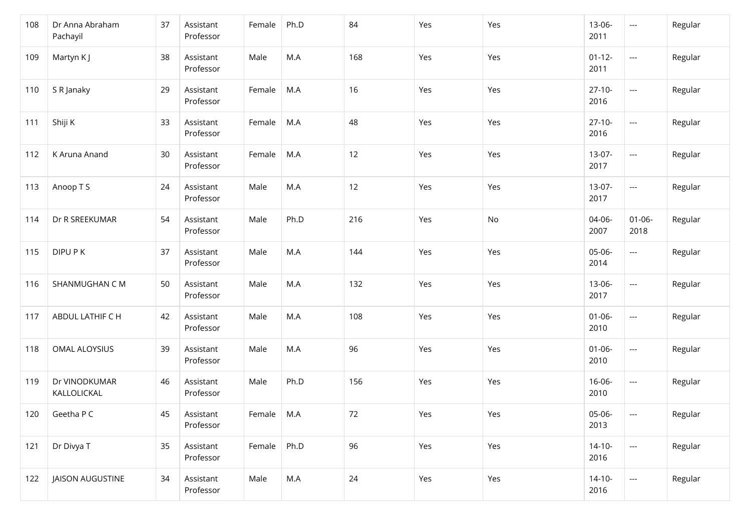| 108 | Dr Anna Abraham<br>Pachayil  | 37 | Assistant<br>Professor | Female             | Ph.D | 84  | Yes | Yes | 13-06-<br>2011      | $\hspace{0.05cm} \ldots$          | Regular |
|-----|------------------------------|----|------------------------|--------------------|------|-----|-----|-----|---------------------|-----------------------------------|---------|
| 109 | Martyn K J                   | 38 | Assistant<br>Professor | Male               | M.A  | 168 | Yes | Yes | $01 - 12 -$<br>2011 | ---                               | Regular |
| 110 | S R Janaky                   | 29 | Assistant<br>Professor | Female             | M.A  | 16  | Yes | Yes | $27-10-$<br>2016    | $\hspace{0.05cm} \ldots$          | Regular |
| 111 | Shiji K                      | 33 | Assistant<br>Professor | Female             | M.A  | 48  | Yes | Yes | $27-10-$<br>2016    | ---                               | Regular |
| 112 | K Aruna Anand                | 30 | Assistant<br>Professor | Female             | M.A  | 12  | Yes | Yes | 13-07-<br>2017      | ---                               | Regular |
| 113 | Anoop T S                    | 24 | Assistant<br>Professor | Male               | M.A  | 12  | Yes | Yes | 13-07-<br>2017      | $\hspace{0.05cm}\ldots$           | Regular |
| 114 | Dr R SREEKUMAR               | 54 | Assistant<br>Professor | Male               | Ph.D | 216 | Yes | No  | 04-06-<br>2007      | $01 - 06 -$<br>2018               | Regular |
| 115 | DIPU P K                     | 37 | Assistant<br>Professor | Male               | M.A  | 144 | Yes | Yes | 05-06-<br>2014      | ---                               | Regular |
| 116 | SHANMUGHAN C M               | 50 | Assistant<br>Professor | Male               | M.A  | 132 | Yes | Yes | 13-06-<br>2017      | $\hspace{0.05cm} \ldots$          | Regular |
| 117 | ABDUL LATHIF C H             | 42 | Assistant<br>Professor | Male               | M.A  | 108 | Yes | Yes | $01 - 06 -$<br>2010 | $\hspace{0.05cm} \ldots$          | Regular |
| 118 | OMAL ALOYSIUS                | 39 | Assistant<br>Professor | Male               | M.A  | 96  | Yes | Yes | $01 - 06 -$<br>2010 | $\hspace{0.05cm} \dashrightarrow$ | Regular |
| 119 | Dr VINODKUMAR<br>KALLOLICKAL | 46 | Assistant<br>Professor | Male               | Ph.D | 156 | Yes | Yes | $16 - 06 -$<br>2010 | ---                               | Regular |
| 120 | Geetha P C                   | 45 | Assistant<br>Professor | Female $\vert$ M.A |      | 72  | Yes | Yes | 05-06-<br>2013      | $\qquad \qquad - -$               | Regular |
| 121 | Dr Divya T                   | 35 | Assistant<br>Professor | Female             | Ph.D | 96  | Yes | Yes | $14-10-$<br>2016    | ---                               | Regular |
| 122 | JAISON AUGUSTINE             | 34 | Assistant<br>Professor | Male               | M.A  | 24  | Yes | Yes | $14-10-$<br>2016    | $\hspace{0.05cm} \ldots$          | Regular |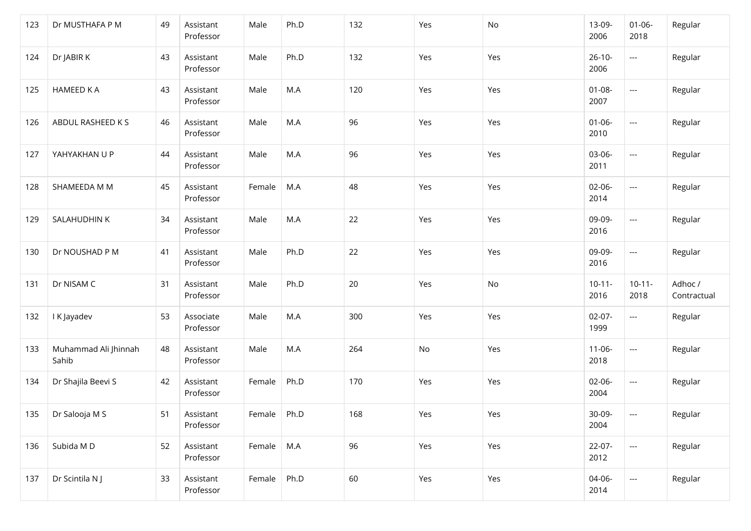| 123 | Dr MUSTHAFA P M               | 49 | Assistant<br>Professor | Male       | Ph.D | 132 | Yes | No  | 13-09-<br>2006      | $01 - 06 -$<br>2018               | Regular                |
|-----|-------------------------------|----|------------------------|------------|------|-----|-----|-----|---------------------|-----------------------------------|------------------------|
| 124 | Dr JABIR K                    | 43 | Assistant<br>Professor | Male       | Ph.D | 132 | Yes | Yes | $26-10-$<br>2006    | ---                               | Regular                |
| 125 | <b>HAMEED K A</b>             | 43 | Assistant<br>Professor | Male       | M.A  | 120 | Yes | Yes | $01 - 08 -$<br>2007 | ---                               | Regular                |
| 126 | ABDUL RASHEED K S             | 46 | Assistant<br>Professor | Male       | M.A  | 96  | Yes | Yes | $01 - 06 -$<br>2010 | ---                               | Regular                |
| 127 | YAHYAKHAN U P                 | 44 | Assistant<br>Professor | Male       | M.A  | 96  | Yes | Yes | 03-06-<br>2011      | ---                               | Regular                |
| 128 | SHAMEEDA M M                  | 45 | Assistant<br>Professor | Female     | M.A  | 48  | Yes | Yes | $02-06-$<br>2014    | ---                               | Regular                |
| 129 | SALAHUDHIN K                  | 34 | Assistant<br>Professor | Male       | M.A  | 22  | Yes | Yes | 09-09-<br>2016      | ---                               | Regular                |
| 130 | Dr NOUSHAD P M                | 41 | Assistant<br>Professor | Male       | Ph.D | 22  | Yes | Yes | 09-09-<br>2016      | ---                               | Regular                |
| 131 | Dr NISAM C                    | 31 | Assistant<br>Professor | Male       | Ph.D | 20  | Yes | No  | $10 - 11 -$<br>2016 | $10 - 11 -$<br>2018               | Adhoc /<br>Contractual |
| 132 | I K Jayadev                   | 53 | Associate<br>Professor | Male       | M.A  | 300 | Yes | Yes | $02-07-$<br>1999    | $\hspace{0.05cm} \ldots$          | Regular                |
| 133 | Muhammad Ali Jhinnah<br>Sahib | 48 | Assistant<br>Professor | Male       | M.A  | 264 | No  | Yes | $11 - 06 -$<br>2018 | $\hspace{0.05cm} \dashrightarrow$ | Regular                |
| 134 | Dr Shajila Beevi S            | 42 | Assistant<br>Professor | Female     | Ph.D | 170 | Yes | Yes | $02-06-$<br>2004    | $\hspace{0.05cm} \ldots$          | Regular                |
| 135 | Dr Salooja M S                | 51 | Assistant<br>Professor | Female     | Ph.D | 168 | Yes | Yes | 30-09-<br>2004      | $---$                             | Regular                |
| 136 | Subida MD                     | 52 | Assistant<br>Professor | Female M.A |      | 96  | Yes | Yes | 22-07-<br>2012      | ---                               | Regular                |
| 137 | Dr Scintila N J               | 33 | Assistant<br>Professor | Female     | Ph.D | 60  | Yes | Yes | 04-06-<br>2014      | $\hspace{0.05cm} \ldots$          | Regular                |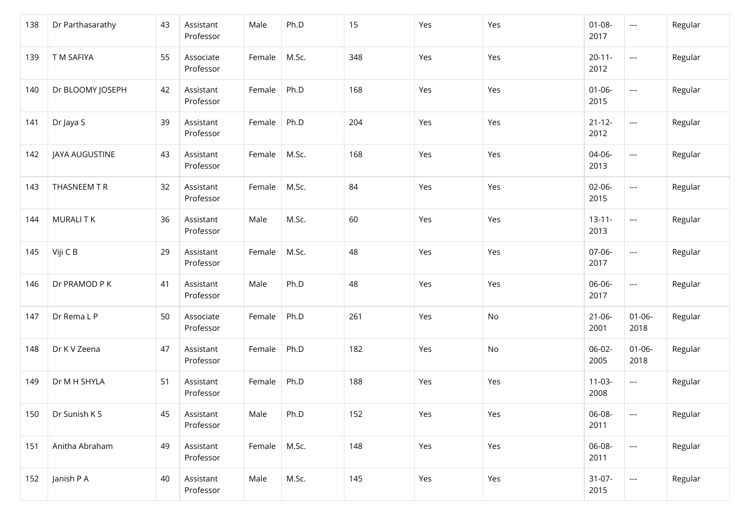| 138 | Dr Parthasarathy | 43 | Assistant<br>Professor | Male   | Ph.D  | 15  | Yes | Yes | $01 - 08 -$<br>2017 | $\hspace{0.05cm} \ldots$          | Regular |
|-----|------------------|----|------------------------|--------|-------|-----|-----|-----|---------------------|-----------------------------------|---------|
| 139 | T M SAFIYA       | 55 | Associate<br>Professor | Female | M.Sc. | 348 | Yes | Yes | $20 - 11 -$<br>2012 | ---                               | Regular |
| 140 | Dr BLOOMY JOSEPH | 42 | Assistant<br>Professor | Female | Ph.D  | 168 | Yes | Yes | $01 - 06 -$<br>2015 | ---                               | Regular |
| 141 | Dr Jaya S        | 39 | Assistant<br>Professor | Female | Ph.D  | 204 | Yes | Yes | $21 - 12 -$<br>2012 | ---                               | Regular |
| 142 | JAYA AUGUSTINE   | 43 | Assistant<br>Professor | Female | M.Sc. | 168 | Yes | Yes | 04-06-<br>2013      | ---                               | Regular |
| 143 | THASNEEM T R     | 32 | Assistant<br>Professor | Female | M.Sc. | 84  | Yes | Yes | $02-06-$<br>2015    | ---                               | Regular |
| 144 | <b>MURALITK</b>  | 36 | Assistant<br>Professor | Male   | M.Sc. | 60  | Yes | Yes | $13 - 11 -$<br>2013 | ---                               | Regular |
| 145 | Viji C B         | 29 | Assistant<br>Professor | Female | M.Sc. | 48  | Yes | Yes | 07-06-<br>2017      | $\hspace{0.05cm} \dashrightarrow$ | Regular |
| 146 | Dr PRAMOD P K    | 41 | Assistant<br>Professor | Male   | Ph.D  | 48  | Yes | Yes | 06-06-<br>2017      | $\hspace{0.05cm} \ldots$          | Regular |
| 147 | Dr Rema L P      | 50 | Associate<br>Professor | Female | Ph.D  | 261 | Yes | No  | $21 - 06 -$<br>2001 | $01 - 06 -$<br>2018               | Regular |
| 148 | Dr K V Zeena     | 47 | Assistant<br>Professor | Female | Ph.D  | 182 | Yes | No  | $06-02-$<br>2005    | $01 - 06 -$<br>2018               | Regular |
| 149 | Dr M H SHYLA     | 51 | Assistant<br>Professor | Female | Ph.D  | 188 | Yes | Yes | $11-03-$<br>2008    | $\qquad \qquad \cdots$            | Regular |
| 150 | Dr Sunish K S    | 45 | Assistant<br>Professor | Male   | Ph.D  | 152 | Yes | Yes | 06-08-<br>2011      | $\qquad \qquad - -$               | Regular |
| 151 | Anitha Abraham   | 49 | Assistant<br>Professor | Female | M.Sc. | 148 | Yes | Yes | 06-08-<br>2011      | ---                               | Regular |
| 152 | Janish P A       | 40 | Assistant<br>Professor | Male   | M.Sc. | 145 | Yes | Yes | $31-07-$<br>2015    | $\hspace{0.05cm} \ldots$          | Regular |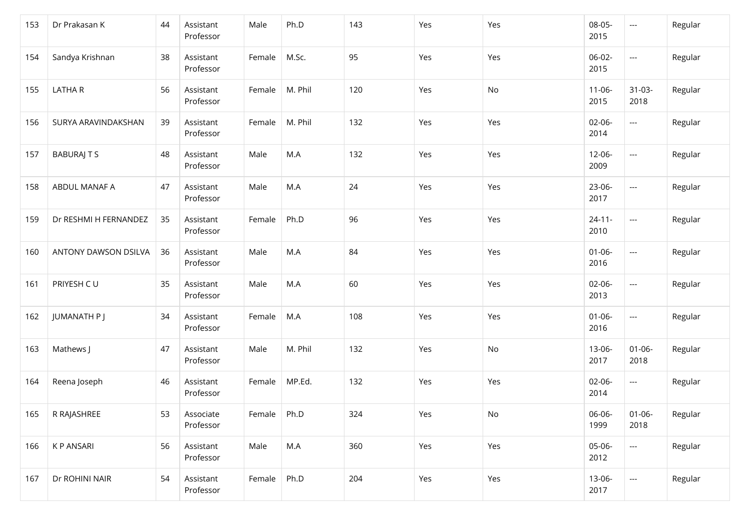| 153 | Dr Prakasan K         | 44 | Assistant<br>Professor | Male   | Ph.D    | 143 | Yes | Yes           | 08-05-<br>2015      | $\hspace{0.05cm} \ldots$          | Regular |
|-----|-----------------------|----|------------------------|--------|---------|-----|-----|---------------|---------------------|-----------------------------------|---------|
| 154 | Sandya Krishnan       | 38 | Assistant<br>Professor | Female | M.Sc.   | 95  | Yes | Yes           | $06-02-$<br>2015    | $\hspace{0.05cm} \ldots$          | Regular |
| 155 | <b>LATHAR</b>         | 56 | Assistant<br>Professor | Female | M. Phil | 120 | Yes | $\mathsf{No}$ | $11 - 06 -$<br>2015 | $31-03-$<br>2018                  | Regular |
| 156 | SURYA ARAVINDAKSHAN   | 39 | Assistant<br>Professor | Female | M. Phil | 132 | Yes | Yes           | $02 - 06 -$<br>2014 | $\hspace{0.05cm} \ldots$          | Regular |
| 157 | <b>BABURAJ T S</b>    | 48 | Assistant<br>Professor | Male   | M.A     | 132 | Yes | Yes           | $12 - 06 -$<br>2009 | ---                               | Regular |
| 158 | ABDUL MANAF A         | 47 | Assistant<br>Professor | Male   | M.A     | 24  | Yes | Yes           | 23-06-<br>2017      | ---                               | Regular |
| 159 | Dr RESHMI H FERNANDEZ | 35 | Assistant<br>Professor | Female | Ph.D    | 96  | Yes | Yes           | $24 - 11 -$<br>2010 | $\hspace{0.05cm} \ldots$          | Regular |
| 160 | ANTONY DAWSON DSILVA  | 36 | Assistant<br>Professor | Male   | M.A     | 84  | Yes | Yes           | $01 - 06 -$<br>2016 | $\hspace{0.05cm} \ldots$          | Regular |
| 161 | PRIYESH CU            | 35 | Assistant<br>Professor | Male   | M.A     | 60  | Yes | Yes           | 02-06-<br>2013      | ---                               | Regular |
| 162 | JUMANATH P J          | 34 | Assistant<br>Professor | Female | M.A     | 108 | Yes | Yes           | $01 - 06 -$<br>2016 | $\scriptstyle\cdots$              | Regular |
| 163 | Mathews J             | 47 | Assistant<br>Professor | Male   | M. Phil | 132 | Yes | No            | 13-06-<br>2017      | $01 - 06 -$<br>2018               | Regular |
| 164 | Reena Joseph          | 46 | Assistant<br>Professor | Female | MP.Ed.  | 132 | Yes | Yes           | 02-06-<br>2014      | $\hspace{0.05cm} \ldots$          | Regular |
| 165 | R RAJASHREE           | 53 | Associate<br>Professor | Female | Ph.D    | 324 | Yes | No            | 06-06-<br>1999      | $01 - 06 -$<br>2018               | Regular |
| 166 | K P ANSARI            | 56 | Assistant<br>Professor | Male   | M.A     | 360 | Yes | Yes           | 05-06-<br>2012      | $\hspace{0.05cm} \dashrightarrow$ | Regular |
| 167 | Dr ROHINI NAIR        | 54 | Assistant<br>Professor | Female | Ph.D    | 204 | Yes | Yes           | 13-06-<br>2017      | $\hspace{0.05cm} \ldots$          | Regular |